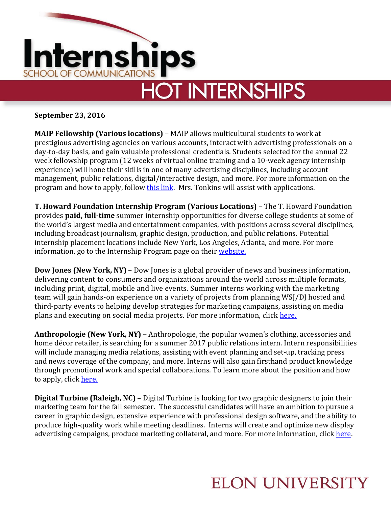

**September 23, 2016**

**MAIP Fellowship (Various locations)** – MAIP allows multicultural students to work at prestigious advertising agencies on various accounts, interact with advertising professionals on a day-to-day basis, and gain valuable professional credentials. Students selected for the annual 22 week fellowship program (12 weeks of virtual online training and a 10-week agency internship experience) will hone their skills in one of many advertising disciplines, including account management, public relations, digital/interactive design, and more. For more information on the program and how to apply, follow [this link.](http://maip.aaaa.org/students) Mrs. Tonkins will assist with applications.

**T. Howard Foundation Internship Program (Various Locations)** – The T. Howard Foundation provides **paid, full-time** summer internship opportunities for diverse college students at some of the world's largest media and entertainment companies, with positions across several disciplines, including broadcast journalism, graphic design, production, and public relations. Potential internship placement locations include New York, Los Angeles, Atlanta, and more. For more information, go to the Internship Program page on their [website.](http://www.t-howard.org/internship-program)

**Dow Jones (New York, NY)** – Dow Jones is a global provider of news and business information, delivering content to consumers and organizations around the world across multiple formats, including print, digital, mobile and live events. Summer interns working with the marketing team will gain hands-on experience on a variety of projects from planning WSJ/DJ hosted and third-party events to helping develop strategies for marketing campaigns, assisting on media plans and executing on social media projects. For more information, click [here.](https://uscareers-dowjones-newscorp.icims.com/jobs/28660/summer-2017-marketing-internship/job?jtsrc=www.indeed.com&jtsrcid=1789&iisn=Indeed+Sponsored+Campaign&iis=JobTarget&_jtochash=MrR7PgFWb22PIyLUrzeV&jtrfr=http%3A%2F%2Fwww.indeed.com%2Fq-Summer-Internship-l-New-York%2C-NY-jobs.html&mobile=false&width=727&height=500&bga=true&needsRedirect=false&jan1offset=-300&jun1offset=-240)

**Anthropologie (New York, NY)** – Anthropologie, the popular women's clothing, accessories and home décor retailer, is searching for a summer 2017 public relations intern. Intern responsibilities will include managing media relations, assisting with event planning and set-up, tracking press and news coverage of the company, and more. Interns will also gain firsthand product knowledge through promotional work and special collaborations. To learn more about the position and how to apply, click [here.](https://career4.successfactors.com/career?company=URBN&career_ns=job_listing&navBarLevel=JOB_SEARCH&career_job_req_id=49198&jobPipeline=Indeed)

**Digital Turbine (Raleigh, NC)** – Digital Turbine is looking for two graphic designers to join their marketing team for the fall semester. The successful candidates will have an ambition to pursue a career in graphic design, extensive experience with professional design software, and the ability to produce high-quality work while meeting deadlines. Interns will create and optimize new display advertising campaigns, produce marketing collateral, and more. For more information, click [here.](http://digitalturbine.applytojob.com/apply/job_20160718010837_SSART4DWNULBSQA3/Graphic-Design-Internship?source=INDE)

## **ELON UNIVERSITY**